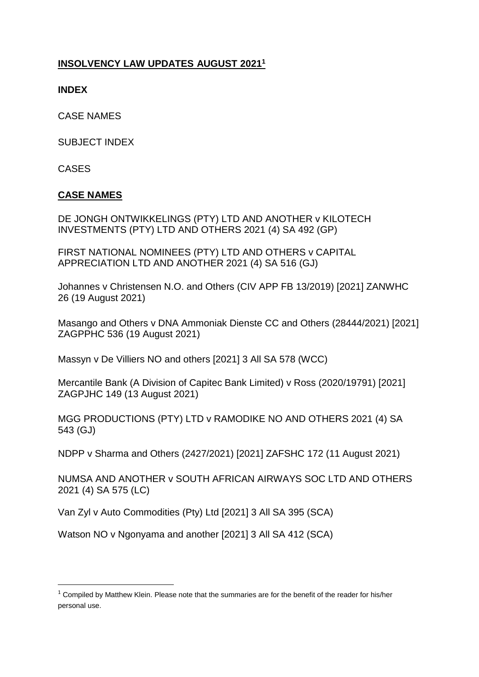## **INSOLVENCY LAW UPDATES AUGUST 2021<sup>1</sup>**

**INDEX**

CASE NAMES

SUBJECT INDEX

CASES

**.** 

### **CASE NAMES**

DE JONGH ONTWIKKELINGS (PTY) LTD AND ANOTHER v KILOTECH INVESTMENTS (PTY) LTD AND OTHERS 2021 (4) SA 492 (GP)

FIRST NATIONAL NOMINEES (PTY) LTD AND OTHERS v CAPITAL APPRECIATION LTD AND ANOTHER 2021 (4) SA 516 (GJ)

[Johannes v Christensen N.O. and Others \(CIV APP FB 13/2019\) \[2021\] ZANWHC](http://www.saflii.org/za/cases/ZANWHC/2021/26.html)  [26 \(19 August 2021\)](http://www.saflii.org/za/cases/ZANWHC/2021/26.html)

[Masango and Others v DNA Ammoniak Dienste CC and Others \(28444/2021\) \[2021\]](http://www.saflii.org/za/cases/ZAGPPHC/2021/536.html)  [ZAGPPHC 536 \(19 August 2021\)](http://www.saflii.org/za/cases/ZAGPPHC/2021/536.html)

Massyn v De Villiers NO and others [2021] 3 All SA 578 (WCC)

[Mercantile Bank \(A Division of Capitec Bank Limited\) v Ross \(2020/19791\) \[2021\]](http://www.saflii.org/za/cases/ZAGPJHC/2021/149.html)  [ZAGPJHC 149 \(13 August 2021\)](http://www.saflii.org/za/cases/ZAGPJHC/2021/149.html) 

MGG PRODUCTIONS (PTY) LTD v RAMODIKE NO AND OTHERS 2021 (4) SA 543 (GJ)

[NDPP v Sharma and Others \(2427/2021\) \[2021\] ZAFSHC 172 \(11 August 2021\)](http://www.saflii.org/za/cases/ZAFSHC/2021/172.html)

NUMSA AND ANOTHER v SOUTH AFRICAN AIRWAYS SOC LTD AND OTHERS 2021 (4) SA 575 (LC)

Van Zyl v Auto Commodities (Pty) Ltd [2021] 3 All SA 395 (SCA)

Watson NO v Ngonyama and another [2021] 3 All SA 412 (SCA)

 $1$  Compiled by Matthew Klein. Please note that the summaries are for the benefit of the reader for his/her personal use.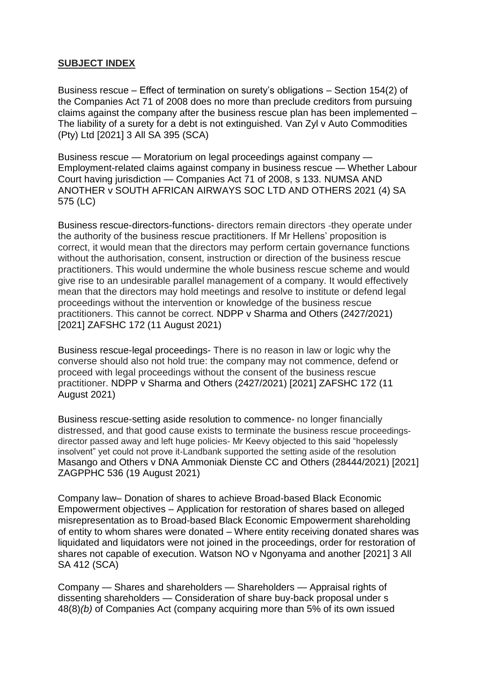#### **SUBJECT INDEX**

Business rescue – Effect of termination on surety's obligations – Section 154(2) of the Companies Act 71 of 2008 does no more than preclude creditors from pursuing claims against the company after the business rescue plan has been implemented – The liability of a surety for a debt is not extinguished. Van Zyl v Auto Commodities (Pty) Ltd [2021] 3 All SA 395 (SCA)

Business rescue — Moratorium on legal proceedings against company — Employment-related claims against company in business rescue — Whether Labour Court having jurisdiction — Companies Act 71 of 2008, s 133. NUMSA AND ANOTHER v SOUTH AFRICAN AIRWAYS SOC LTD AND OTHERS 2021 (4) SA 575 (LC)

Business rescue-directors-functions- directors remain directors -they operate under the authority of the business rescue practitioners. If Mr Hellens' proposition is correct, it would mean that the directors may perform certain governance functions without the authorisation, consent, instruction or direction of the business rescue practitioners. This would undermine the whole business rescue scheme and would give rise to an undesirable parallel management of a company. It would effectively mean that the directors may hold meetings and resolve to institute or defend legal proceedings without the intervention or knowledge of the business rescue practitioners. This cannot be correct. [NDPP v Sharma and Others \(2427/2021\)](http://www.saflii.org/za/cases/ZAFSHC/2021/172.html)  [\[2021\] ZAFSHC 172 \(11 August 2021\)](http://www.saflii.org/za/cases/ZAFSHC/2021/172.html)

Business rescue-legal proceedings- There is no reason in law or logic why the converse should also not hold true: the company may not commence, defend or proceed with legal proceedings without the consent of the business rescue practitioner. [NDPP v Sharma and Others \(2427/2021\) \[2021\] ZAFSHC 172 \(11](http://www.saflii.org/za/cases/ZAFSHC/2021/172.html)  [August 2021\)](http://www.saflii.org/za/cases/ZAFSHC/2021/172.html)

Business rescue-setting aside resolution to commence- no longer financially distressed, and that good cause exists to terminate the business rescue proceedingsdirector passed away and left huge policies- Mr Keevy objected to this said "hopelessly insolvent" yet could not prove it-Landbank supported the setting aside of the resolution [Masango and Others v DNA Ammoniak Dienste CC and Others \(28444/2021\) \[2021\]](http://www.saflii.org/za/cases/ZAGPPHC/2021/536.html)  [ZAGPPHC 536 \(19 August 2021\)](http://www.saflii.org/za/cases/ZAGPPHC/2021/536.html)

Company law– Donation of shares to achieve Broad-based Black Economic Empowerment objectives – Application for restoration of shares based on alleged misrepresentation as to Broad-based Black Economic Empowerment shareholding of entity to whom shares were donated – Where entity receiving donated shares was liquidated and liquidators were not joined in the proceedings, order for restoration of shares not capable of execution. Watson NO v Ngonyama and another [2021] 3 All SA 412 (SCA)

Company — Shares and shareholders — Shareholders — Appraisal rights of dissenting shareholders — Consideration of share buy-back proposal under s 48(8)*(b)* of Companies Act (company acquiring more than 5% of its own issued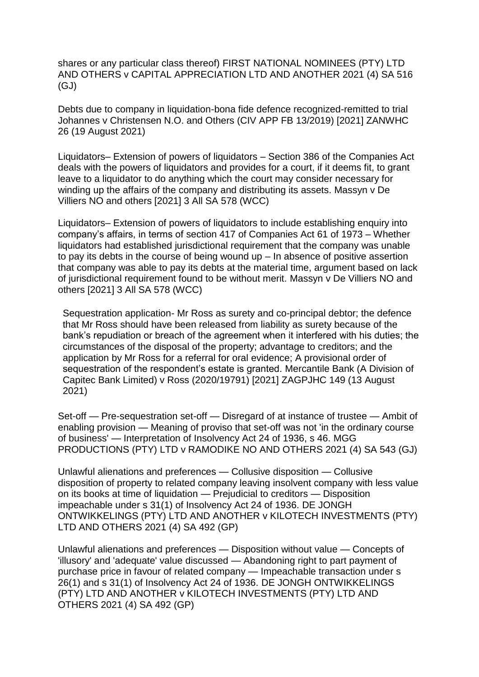shares or any particular class thereof) FIRST NATIONAL NOMINEES (PTY) LTD AND OTHERS v CAPITAL APPRECIATION LTD AND ANOTHER 2021 (4) SA 516 (GJ)

Debts due to company in liquidation-bona fide defence recognized-remitted to trial [Johannes v Christensen N.O. and Others \(CIV APP FB 13/2019\) \[2021\] ZANWHC](http://www.saflii.org/za/cases/ZANWHC/2021/26.html)  [26 \(19 August 2021\)](http://www.saflii.org/za/cases/ZANWHC/2021/26.html)

Liquidators– Extension of powers of liquidators – Section 386 of the Companies Act deals with the powers of liquidators and provides for a court, if it deems fit, to grant leave to a liquidator to do anything which the court may consider necessary for winding up the affairs of the company and distributing its assets. Massyn v De Villiers NO and others [2021] 3 All SA 578 (WCC)

Liquidators– Extension of powers of liquidators to include establishing enquiry into company's affairs, in terms of section 417 of Companies Act 61 of 1973 – Whether liquidators had established jurisdictional requirement that the company was unable to pay its debts in the course of being wound up – In absence of positive assertion that company was able to pay its debts at the material time, argument based on lack of jurisdictional requirement found to be without merit. Massyn v De Villiers NO and others [2021] 3 All SA 578 (WCC)

Sequestration application- Mr Ross as surety and co-principal debtor; the defence that Mr Ross should have been released from liability as surety because of the bank's repudiation or breach of the agreement when it interfered with his duties; the circumstances of the disposal of the property; advantage to creditors; and the application by Mr Ross for a referral for oral evidence; A provisional order of sequestration of the respondent's estate is granted. [Mercantile Bank \(A Division of](http://www.saflii.org/za/cases/ZAGPJHC/2021/149.html)  Capitec [Bank Limited\) v Ross \(2020/19791\) \[2021\] ZAGPJHC 149 \(13 August](http://www.saflii.org/za/cases/ZAGPJHC/2021/149.html)  [2021\)](http://www.saflii.org/za/cases/ZAGPJHC/2021/149.html) 

Set-off — Pre-sequestration set-off — Disregard of at instance of trustee — Ambit of enabling provision — Meaning of proviso that set-off was not 'in the ordinary course of business' — Interpretation of Insolvency Act 24 of 1936, s 46. MGG PRODUCTIONS (PTY) LTD v RAMODIKE NO AND OTHERS 2021 (4) SA 543 (GJ)

Unlawful alienations and preferences — Collusive disposition — Collusive disposition of property to related company leaving insolvent company with less value on its books at time of liquidation — Prejudicial to creditors — Disposition impeachable under s 31(1) of Insolvency Act 24 of 1936. DE JONGH ONTWIKKELINGS (PTY) LTD AND ANOTHER v KILOTECH INVESTMENTS (PTY) LTD AND OTHERS 2021 (4) SA 492 (GP)

Unlawful alienations and preferences — Disposition without value — Concepts of 'illusory' and 'adequate' value discussed — Abandoning right to part payment of purchase price in favour of related company — Impeachable transaction under s 26(1) and s 31(1) of Insolvency Act 24 of 1936. DE JONGH ONTWIKKELINGS (PTY) LTD AND ANOTHER v KILOTECH INVESTMENTS (PTY) LTD AND OTHERS 2021 (4) SA 492 (GP)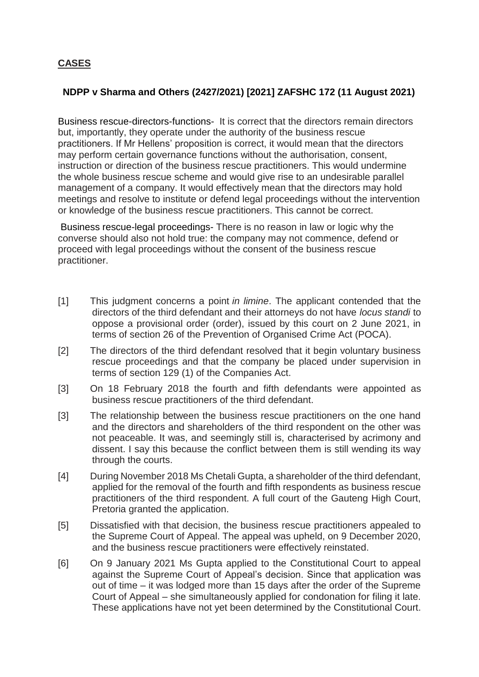## **CASES**

## **[NDPP v Sharma and Others \(2427/2021\) \[2021\] ZAFSHC 172 \(11 August 2021\)](http://www.saflii.org/za/cases/ZAFSHC/2021/172.html)**

Business rescue-directors-functions- It is correct that the directors remain directors but, importantly, they operate under the authority of the business rescue practitioners. If Mr Hellens' proposition is correct, it would mean that the directors may perform certain governance functions without the authorisation, consent, instruction or direction of the business rescue practitioners. This would undermine the whole business rescue scheme and would give rise to an undesirable parallel management of a company. It would effectively mean that the directors may hold meetings and resolve to institute or defend legal proceedings without the intervention or knowledge of the business rescue practitioners. This cannot be correct.

Business rescue-legal proceedings- There is no reason in law or logic why the converse should also not hold true: the company may not commence, defend or proceed with legal proceedings without the consent of the business rescue practitioner.

- [1] This judgment concerns a point *in limine*. The applicant contended that the directors of the third defendant and their attorneys do not have *locus standi* to oppose a provisional order (order), issued by this court on 2 June 2021, in terms of section 26 of the Prevention of Organised Crime Act (POCA).
- [2] The directors of the third defendant resolved that it begin voluntary business rescue proceedings and that the company be placed under supervision in terms of section 129 (1) of the Companies Act.
- [3] On 18 February 2018 the fourth and fifth defendants were appointed as business rescue practitioners of the third defendant.
- [3] The relationship between the business rescue practitioners on the one hand and the directors and shareholders of the third respondent on the other was not peaceable. It was, and seemingly still is, characterised by acrimony and dissent. I say this because the conflict between them is still wending its way through the courts.
- [4] During November 2018 Ms Chetali Gupta, a shareholder of the third defendant, applied for the removal of the fourth and fifth respondents as business rescue practitioners of the third respondent. A full court of the Gauteng High Court, Pretoria granted the application.
- [5] Dissatisfied with that decision, the business rescue practitioners appealed to the Supreme Court of Appeal. The appeal was upheld, on 9 December 2020, and the business rescue practitioners were effectively reinstated.
- [6] On 9 January 2021 Ms Gupta applied to the Constitutional Court to appeal against the Supreme Court of Appeal's decision. Since that application was out of time – it was lodged more than 15 days after the order of the Supreme Court of Appeal – she simultaneously applied for condonation for filing it late. These applications have not yet been determined by the Constitutional Court.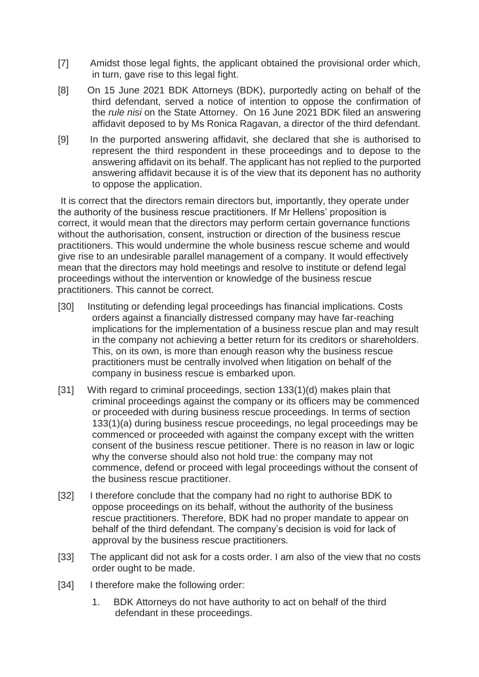- [7] Amidst those legal fights, the applicant obtained the provisional order which, in turn, gave rise to this legal fight.
- [8] On 15 June 2021 BDK Attorneys (BDK), purportedly acting on behalf of the third defendant, served a notice of intention to oppose the confirmation of the *rule nisi* on the State Attorney. On 16 June 2021 BDK filed an answering affidavit deposed to by Ms Ronica Ragavan, a director of the third defendant.
- [9] In the purported answering affidavit, she declared that she is authorised to represent the third respondent in these proceedings and to depose to the answering affidavit on its behalf. The applicant has not replied to the purported answering affidavit because it is of the view that its deponent has no authority to oppose the application.

It is correct that the directors remain directors but, importantly, they operate under the authority of the business rescue practitioners. If Mr Hellens' proposition is correct, it would mean that the directors may perform certain governance functions without the authorisation, consent, instruction or direction of the business rescue practitioners. This would undermine the whole business rescue scheme and would give rise to an undesirable parallel management of a company. It would effectively mean that the directors may hold meetings and resolve to institute or defend legal proceedings without the intervention or knowledge of the business rescue practitioners. This cannot be correct.

- [30] Instituting or defending legal proceedings has financial implications. Costs orders against a financially distressed company may have far-reaching implications for the implementation of a business rescue plan and may result in the company not achieving a better return for its creditors or shareholders. This, on its own, is more than enough reason why the business rescue practitioners must be centrally involved when litigation on behalf of the company in business rescue is embarked upon.
- [31] With regard to criminal proceedings, section 133(1)(d) makes plain that criminal proceedings against the company or its officers may be commenced or proceeded with during business rescue proceedings. In terms of section 133(1)(a) during business rescue proceedings, no legal proceedings may be commenced or proceeded with against the company except with the written consent of the business rescue petitioner. There is no reason in law or logic why the converse should also not hold true: the company may not commence, defend or proceed with legal proceedings without the consent of the business rescue practitioner.
- [32] I therefore conclude that the company had no right to authorise BDK to oppose proceedings on its behalf, without the authority of the business rescue practitioners. Therefore, BDK had no proper mandate to appear on behalf of the third defendant. The company's decision is void for lack of approval by the business rescue practitioners.
- [33] The applicant did not ask for a costs order. I am also of the view that no costs order ought to be made.
- [34] I therefore make the following order:
	- 1. BDK Attorneys do not have authority to act on behalf of the third defendant in these proceedings.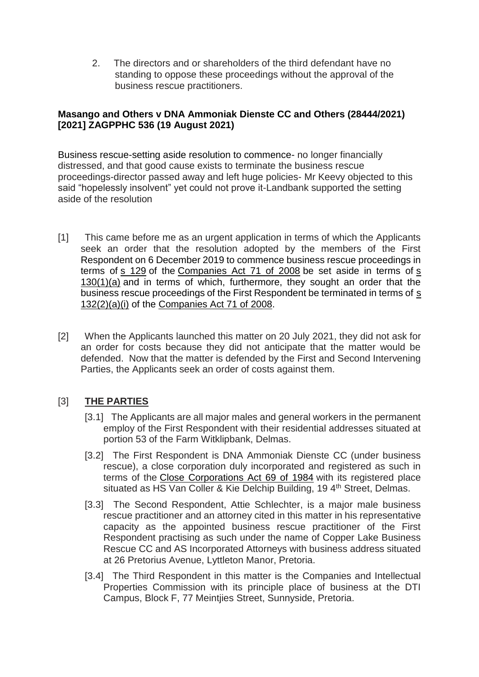2. The directors and or shareholders of the third defendant have no standing to oppose these proceedings without the approval of the business rescue practitioners.

### **[Masango and Others v DNA Ammoniak Dienste CC and Others \(28444/2021\)](http://www.saflii.org/za/cases/ZAGPPHC/2021/536.html)  [\[2021\] ZAGPPHC 536 \(19 August 2021\)](http://www.saflii.org/za/cases/ZAGPPHC/2021/536.html)**

Business rescue-setting aside resolution to commence- no longer financially distressed, and that good cause exists to terminate the business rescue proceedings-director passed away and left huge policies- Mr Keevy objected to this said "hopelessly insolvent" yet could not prove it-Landbank supported the setting aside of the resolution

- [1] This came before me as an urgent application in terms of which the Applicants seek an order that the resolution adopted by the members of the First Respondent on 6 December 2019 to commence business rescue proceedings in terms of [s 129](http://www.saflii.org/za/legis/consol_act/ca2008107/index.html#s129) of the [Companies Act 71 of 2008](http://www.saflii.org/za/legis/consol_act/ca2008107/) be set aside in terms of [s](http://www.saflii.org/za/legis/consol_act/ca2008107/index.html#s130)  [130\(1\)\(a\)](http://www.saflii.org/za/legis/consol_act/ca2008107/index.html#s130) and in terms of which, furthermore, they sought an order that the business rescue proceedings of the First Respondent be terminated in terms of [s](http://www.saflii.org/za/legis/consol_act/ca2008107/index.html#s132)  [132\(2\)\(a\)\(i\)](http://www.saflii.org/za/legis/consol_act/ca2008107/index.html#s132) of the [Companies Act 71 of 2008.](http://www.saflii.org/za/legis/consol_act/ca2008107/)
- [2] When the Applicants launched this matter on 20 July 2021, they did not ask for an order for costs because they did not anticipate that the matter would be defended. Now that the matter is defended by the First and Second Intervening Parties, the Applicants seek an order of costs against them.

## [3] **THE PARTIES**

- [3.1] The Applicants are all major males and general workers in the permanent employ of the First Respondent with their residential addresses situated at portion 53 of the Farm Witklipbank, Delmas.
- [3.2] The First Respondent is DNA Ammoniak Dienste CC (under business rescue), a close corporation duly incorporated and registered as such in terms of the [Close Corporations Act 69 of](http://www.saflii.org/za/legis/consol_act/cca1984221/) 1984 with its registered place situated as HS Van Coller & Kie Delchip Building, 19 4<sup>th</sup> Street, Delmas.
- [3.3] The Second Respondent, Attie Schlechter, is a major male business rescue practitioner and an attorney cited in this matter in his representative capacity as the appointed business rescue practitioner of the First Respondent practising as such under the name of Copper Lake Business Rescue CC and AS Incorporated Attorneys with business address situated at 26 Pretorius Avenue, Lyttleton Manor, Pretoria.
- [3.4] The Third Respondent in this matter is the Companies and Intellectual Properties Commission with its principle place of business at the DTI Campus, Block F, 77 Meintjies Street, Sunnyside, Pretoria.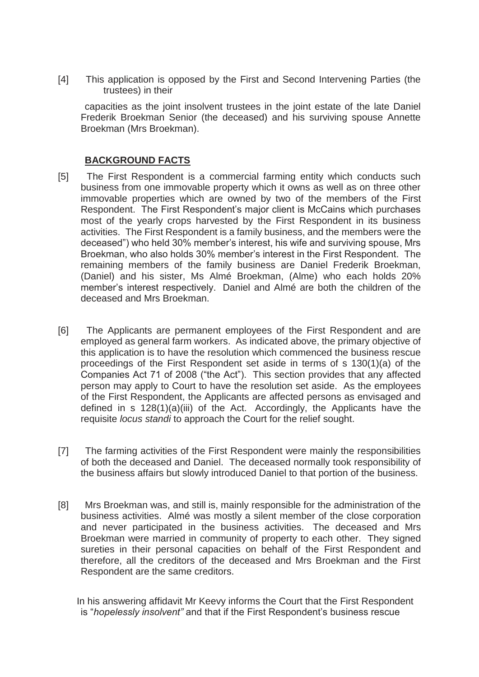[4] This application is opposed by the First and Second Intervening Parties (the trustees) in their

 capacities as the joint insolvent trustees in the joint estate of the late Daniel Frederik Broekman Senior (the deceased) and his surviving spouse Annette Broekman (Mrs Broekman).

### **BACKGROUND FACTS**

- [5] The First Respondent is a commercial farming entity which conducts such business from one immovable property which it owns as well as on three other immovable properties which are owned by two of the members of the First Respondent. The First Respondent's major client is McCains which purchases most of the yearly crops harvested by the First Respondent in its business activities. The First Respondent is a family business, and the members were the deceased") who held 30% member's interest, his wife and surviving spouse, Mrs Broekman, who also holds 30% member's interest in the First Respondent. The remaining members of the family business are Daniel Frederik Broekman, (Daniel) and his sister, Ms Almé Broekman, (Alme) who each holds 20% member's interest respectively. Daniel and Almé are both the children of the deceased and Mrs Broekman.
- [6] The Applicants are permanent employees of the First Respondent and are employed as general farm workers. As indicated above, the primary objective of this application is to have the resolution which commenced the business rescue proceedings of the First Respondent set aside in terms of s 130(1)(a) of the Companies Act 71 of 2008 ("the Act"). This section provides that any affected person may apply to Court to have the resolution set aside. As the employees of the First Respondent, the Applicants are affected persons as envisaged and defined in s 128(1)(a)(iii) of the Act. Accordingly, the Applicants have the requisite *locus standi* to approach the Court for the relief sought.
- [7] The farming activities of the First Respondent were mainly the responsibilities of both the deceased and Daniel. The deceased normally took responsibility of the business affairs but slowly introduced Daniel to that portion of the business.
- [8] Mrs Broekman was, and still is, mainly responsible for the administration of the business activities. Almé was mostly a silent member of the close corporation and never participated in the business activities. The deceased and Mrs Broekman were married in community of property to each other. They signed sureties in their personal capacities on behalf of the First Respondent and therefore, all the creditors of the deceased and Mrs Broekman and the First Respondent are the same creditors.

 In his answering affidavit Mr Keevy informs the Court that the First Respondent is "*hopelessly insolvent"* and that if the First Respondent's business rescue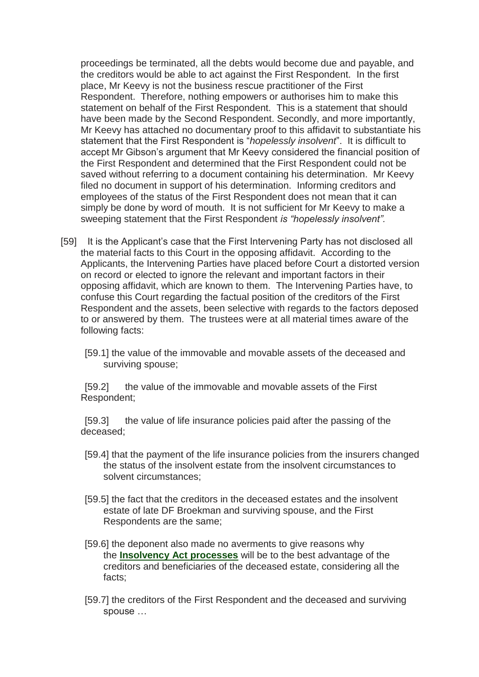proceedings be terminated, all the debts would become due and payable, and the creditors would be able to act against the First Respondent. In the first place, Mr Keevy is not the business rescue practitioner of the First Respondent. Therefore, nothing empowers or authorises him to make this statement on behalf of the First Respondent. This is a statement that should have been made by the Second Respondent. Secondly, and more importantly, Mr Keevy has attached no documentary proof to this affidavit to substantiate his statement that the First Respondent is "*hopelessly insolvent*". It is difficult to accept Mr Gibson's argument that Mr Keevy considered the financial position of the First Respondent and determined that the First Respondent could not be saved without referring to a document containing his determination. Mr Keevy filed no document in support of his determination. Informing creditors and employees of the status of the First Respondent does not mean that it can simply be done by word of mouth. It is not sufficient for Mr Keevy to make a sweeping statement that the First Respondent *is "hopelessly insolvent".*

- [59] It is the Applicant's case that the First Intervening Party has not disclosed all the material facts to this Court in the opposing affidavit. According to the Applicants, the Intervening Parties have placed before Court a distorted version on record or elected to ignore the relevant and important factors in their opposing affidavit, which are known to them. The Intervening Parties have, to confuse this Court regarding the factual position of the creditors of the First Respondent and the assets, been selective with regards to the factors deposed to or answered by them. The trustees were at all material times aware of the following facts:
	- [59.1] the value of the immovable and movable assets of the deceased and surviving spouse;

[59.2] the value of the immovable and movable assets of the First Respondent;

[59.3] the value of life insurance policies paid after the passing of the deceased;

- [59.4] that the payment of the life insurance policies from the insurers changed the status of the insolvent estate from the insolvent circumstances to solvent circumstances;
- [59.5] the fact that the creditors in the deceased estates and the insolvent estate of late DF Broekman and surviving spouse, and the First Respondents are the same;
- [59.6] the deponent also made no averments to give reasons why the **[Insolvency Act processes](http://www.saflii.org/za/legis/consol_act/ia1936149/)** will be to the best advantage of the creditors and beneficiaries of the deceased estate, considering all the facts;
- [59.7] the creditors of the First Respondent and the deceased and surviving spouse …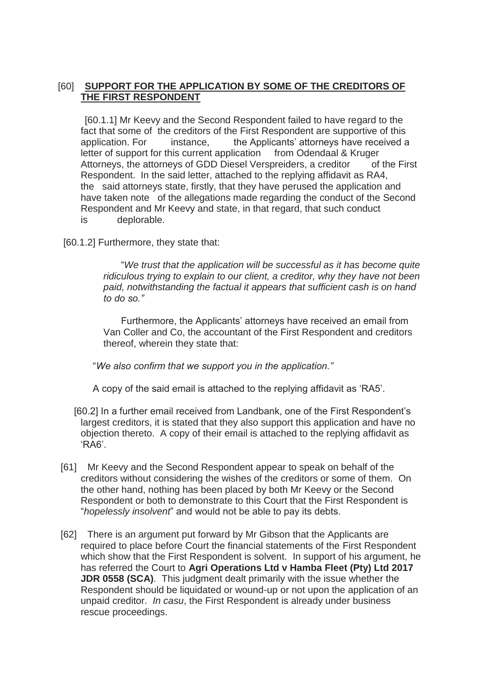### [60] **SUPPORT FOR THE APPLICATION BY SOME OF THE CREDITORS OF THE FIRST RESPONDENT**

 [60.1.1] Mr Keevy and the Second Respondent failed to have regard to the fact that some of the creditors of the First Respondent are supportive of this application. For instance, the Applicants' attorneys have received a letter of support for this current application from Odendaal & Kruger Attorneys, the attorneys of GDD Diesel Verspreiders, a creditor of the First Respondent. In the said letter, attached to the replying affidavit as RA4, the said attorneys state, firstly, that they have perused the application and have taken note of the allegations made regarding the conduct of the Second Respondent and Mr Keevy and state, in that regard, that such conduct is deplorable.

[60.1.2] Furthermore, they state that:

 "*We trust that the application will be successful as it has become quite ridiculous trying to explain to our client, a creditor, why they have not been paid, notwithstanding the factual it appears that sufficient cash is on hand to do so."*

 Furthermore, the Applicants' attorneys have received an email from Van Coller and Co, the accountant of the First Respondent and creditors thereof, wherein they state that:

"*We also confirm that we support you in the application."*

A copy of the said email is attached to the replying affidavit as 'RA5'.

- [60.2] In a further email received from Landbank, one of the First Respondent's largest creditors, it is stated that they also support this application and have no objection thereto. A copy of their email is attached to the replying affidavit as 'RA6'.
- [61] Mr Keevy and the Second Respondent appear to speak on behalf of the creditors without considering the wishes of the creditors or some of them. On the other hand, nothing has been placed by both Mr Keevy or the Second Respondent or both to demonstrate to this Court that the First Respondent is "*hopelessly insolvent*" and would not be able to pay its debts.
- [62] There is an argument put forward by Mr Gibson that the Applicants are required to place before Court the financial statements of the First Respondent which show that the First Respondent is solvent. In support of his argument, he has referred the Court to **Agri Operations Ltd v Hamba Fleet (Pty) Ltd 2017 JDR 0558 (SCA)**. This judgment dealt primarily with the issue whether the Respondent should be liquidated or wound-up or not upon the application of an unpaid creditor. *In casu*, the First Respondent is already under business rescue proceedings.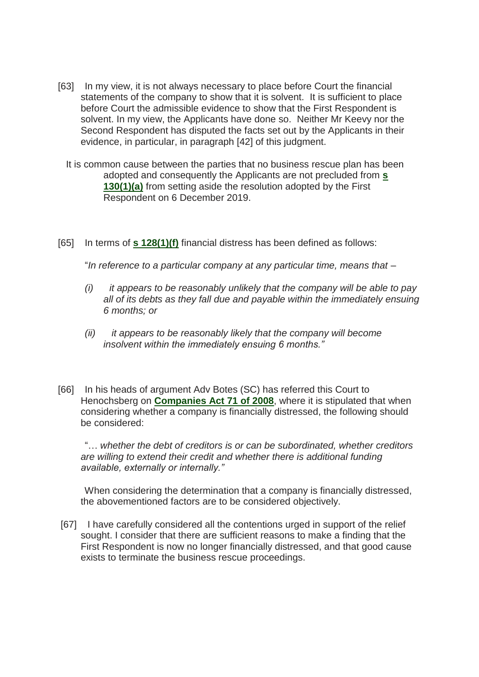- [63] In my view, it is not always necessary to place before Court the financial statements of the company to show that it is solvent. It is sufficient to place before Court the admissible evidence to show that the First Respondent is solvent. In my view, the Applicants have done so. Neither Mr Keevy nor the Second Respondent has disputed the facts set out by the Applicants in their evidence, in particular, in paragraph [42] of this judgment.
	- It is common cause between the parties that no business rescue plan has been adopted and consequently the Applicants are not precluded from **[s](http://www.saflii.org/za/legis/consol_act/ia1936149/index.html#s130)  [130\(1\)\(a\)](http://www.saflii.org/za/legis/consol_act/ia1936149/index.html#s130)** from setting aside the resolution adopted by the First Respondent on 6 December 2019.
- [65] In terms of **[s 128\(1\)\(f\)](http://www.saflii.org/za/legis/consol_act/ia1936149/index.html#s128)** financial distress has been defined as follows:

"*In reference to a particular company at any particular time, means that –*

- *(i) it appears to be reasonably unlikely that the company will be able to pay all of its debts as they fall due and payable within the immediately ensuing 6 months; or*
- *(ii) it appears to be reasonably likely that the company will become insolvent within the immediately ensuing 6 months."*
- [66] In his heads of argument Adv Botes (SC) has referred this Court to Henochsberg on **[Companies Act 71 of 2008](http://www.saflii.org/za/legis/consol_act/ca2008107/)**, where it is stipulated that when considering whether a company is financially distressed, the following should be considered:

 "… *whether the debt of creditors is or can be subordinated, whether creditors are willing to extend their credit and whether there is additional funding available, externally or internally."*

 When considering the determination that a company is financially distressed, the abovementioned factors are to be considered objectively.

[67] I have carefully considered all the contentions urged in support of the relief sought. I consider that there are sufficient reasons to make a finding that the First Respondent is now no longer financially distressed, and that good cause exists to terminate the business rescue proceedings.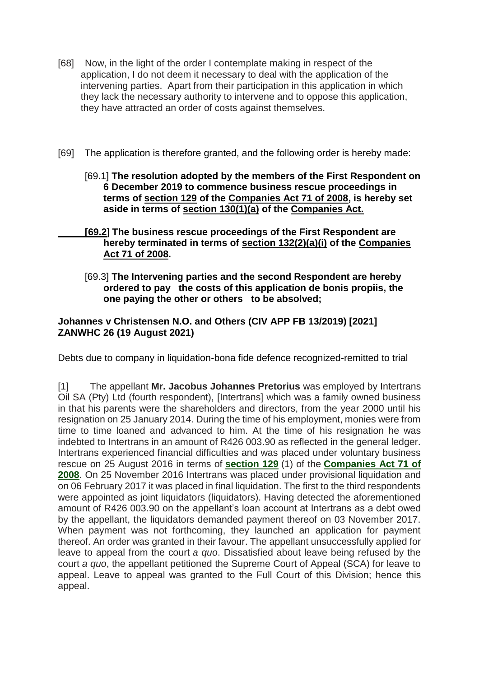- [68] Now, in the light of the order I contemplate making in respect of the application, I do not deem it necessary to deal with the application of the intervening parties. Apart from their participation in this application in which they lack the necessary authority to intervene and to oppose this application, they have attracted an order of costs against themselves.
- [69] The application is therefore granted, and the following order is hereby made:
	- [69**.**1] **The resolution adopted by the members of the First Respondent on 6 December 2019 to commence business rescue proceedings in terms of [section 129](http://www.saflii.org/za/legis/consol_act/ca2008107/index.html#s129) of the [Companies Act 71 of 2008,](http://www.saflii.org/za/legis/consol_act/ca2008107/) is hereby set aside in terms of [section 130\(1\)\(a\)](http://www.saflii.org/za/legis/consol_act/ca2008107/index.html#s130) of the [Companies Act.](http://www.saflii.org/za/legis/consol_act/ca2008107/)**
	- **[\[69.2](http://www.saflii.org/za/legis/consol_act/ca2008107/)**] **The business rescue proceedings of the First Respondent are hereby terminated in terms of [section 132\(2\)\(a\)\(i\)](http://www.saflii.org/za/legis/consol_act/ca2008107/index.html#s132) of the [Companies](http://www.saflii.org/za/legis/consol_act/ca2008107/)  [Act 71](http://www.saflii.org/za/legis/consol_act/ca2008107/) [of 2008.](http://www.saflii.org/za/legis/consol_act/ca2008107/)**
		- [69.3] **The Intervening parties and the second Respondent are hereby ordered to pay the costs of this application de bonis propiis, the one paying the other or others to be absolved;**

#### **[Johannes v Christensen N.O. and Others \(CIV APP FB 13/2019\) \[2021\]](http://www.saflii.org/za/cases/ZANWHC/2021/26.html)  [ZANWHC 26 \(19 August 2021\)](http://www.saflii.org/za/cases/ZANWHC/2021/26.html)**

Debts due to company in liquidation-bona fide defence recognized-remitted to trial

[1] The appellant **Mr. Jacobus Johannes Pretorius** was employed by Intertrans Oil SA (Pty) Ltd (fourth respondent), [Intertrans] which was a family owned business in that his parents were the shareholders and directors, from the year 2000 until his resignation on 25 January 2014. During the time of his employment, monies were from time to time loaned and advanced to him. At the time of his resignation he was indebted to Intertrans in an amount of R426 003.90 as reflected in the general ledger. Intertrans experienced financial difficulties and was placed under voluntary business rescue on 25 August 2016 in terms of **[section 129](http://www.saflii.org/za/legis/consol_act/ca2008107/index.html#s129)** (1) of the **[Companies Act 71 of](http://www.saflii.org/za/legis/consol_act/ca2008107/)  [2008](http://www.saflii.org/za/legis/consol_act/ca2008107/)**. On 25 November 2016 Intertrans was placed under provisional liquidation and on 06 February 2017 it was placed in final liquidation. The first to the third respondents were appointed as joint liquidators (liquidators). Having detected the aforementioned amount of R426 003.90 on the appellant's loan account at Intertrans as a debt owed by the appellant, the liquidators demanded payment thereof on 03 November 2017. When payment was not forthcoming, they launched an application for payment thereof. An order was granted in their favour. The appellant unsuccessfully applied for leave to appeal from the court *a quo*. Dissatisfied about leave being refused by the court *a quo*, the appellant petitioned the Supreme Court of Appeal (SCA) for leave to appeal. Leave to appeal was granted to the Full Court of this Division; hence this appeal.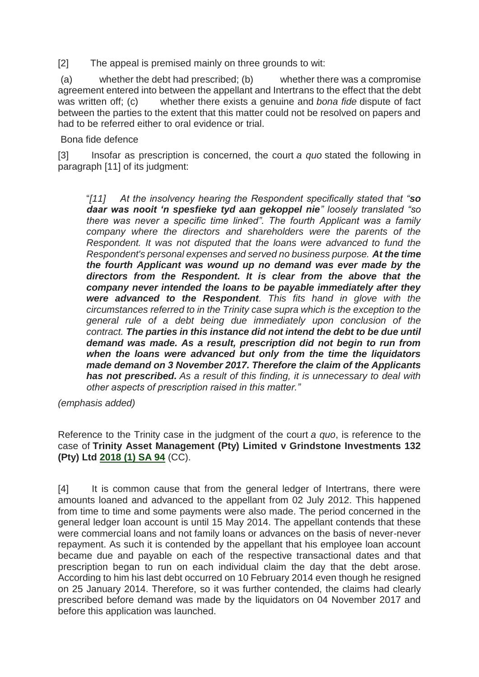[2] The appeal is premised mainly on three grounds to wit:

(a) whether the debt had prescribed; (b) whether there was a compromise agreement entered into between the appellant and Intertrans to the effect that the debt was written off; (c) whether there exists a genuine and *bona fide* dispute of fact between the parties to the extent that this matter could not be resolved on papers and had to be referred either to oral evidence or trial.

Bona fide defence

[3] Insofar as prescription is concerned, the court *a quo* stated the following in paragraph [11] of its judgment:

"*[11] At the insolvency hearing the Respondent specifically stated that "so daar was nooit 'n spesfieke tyd aan gekoppel nie" loosely translated "so there was never a specific time linked". The fourth Applicant was a family company where the directors and shareholders were the parents of the Respondent. It was not disputed that the loans were advanced to fund the Respondent's personal expenses and served no business purpose. At the time the fourth Applicant was wound up no demand was ever made by the directors from the Respondent. It is clear from the above that the company never intended the loans to be payable immediately after they were advanced to the Respondent. This fits hand in glove with the circumstances referred to in the Trinity case supra which is the exception to the general rule of a debt being due immediately upon conclusion of the contract. The parties in this instance did not intend the debt to be due until demand was made. As a result, prescription did not begin to run from when the loans were advanced but only from the time the liquidators made demand on 3 November 2017. Therefore the claim of the Applicants has not prescribed. As a result of this finding, it is unnecessary to deal with other aspects of prescription raised in this matter."*

*(emphasis added)*

Reference to the Trinity case in the judgment of the court *a quo*, is reference to the case of **Trinity Asset Management (Pty) Limited v Grindstone Investments 132 (Pty) Ltd [2018 \(1\) SA 94](http://www.saflii.org/cgi-bin/LawCite?cit=2018%20%281%29%20SA%2094)** (CC).

[4] It is common cause that from the general ledger of Intertrans, there were amounts loaned and advanced to the appellant from 02 July 2012. This happened from time to time and some payments were also made. The period concerned in the general ledger loan account is until 15 May 2014. The appellant contends that these were commercial loans and not family loans or advances on the basis of never-never repayment. As such it is contended by the appellant that his employee loan account became due and payable on each of the respective transactional dates and that prescription began to run on each individual claim the day that the debt arose. According to him his last debt occurred on 10 February 2014 even though he resigned on 25 January 2014. Therefore, so it was further contended, the claims had clearly prescribed before demand was made by the liquidators on 04 November 2017 and before this application was launched.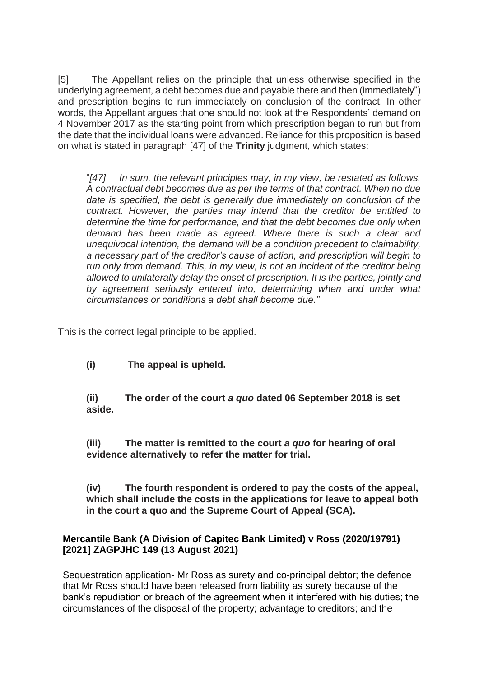[5] The Appellant relies on the principle that unless otherwise specified in the underlying agreement, a debt becomes due and payable there and then (immediately") and prescription begins to run immediately on conclusion of the contract. In other words, the Appellant argues that one should not look at the Respondents' demand on 4 November 2017 as the starting point from which prescription began to run but from the date that the individual loans were advanced. Reliance for this proposition is based on what is stated in paragraph [47] of the **Trinity** judgment, which states:

"*[47] In sum, the relevant principles may, in my view, be restated as follows. A contractual debt becomes due as per the terms of that contract. When no due date is specified, the debt is generally due immediately on conclusion of the contract. However, the parties may intend that the creditor be entitled to determine the time for performance, and that the debt becomes due only when demand has been made as agreed. Where there is such a clear and unequivocal intention, the demand will be a condition precedent to claimability, a necessary part of the creditor's cause of action, and prescription will begin to run only from demand. This, in my view, is not an incident of the creditor being allowed to unilaterally delay the onset of prescription. It is the parties, jointly and by agreement seriously entered into, determining when and under what circumstances or conditions a debt shall become due."*

This is the correct legal principle to be applied.

**(i) The appeal is upheld.**

**(ii) The order of the court** *a quo* **dated 06 September 2018 is set aside.**

**(iii) The matter is remitted to the court** *a quo* **for hearing of oral evidence alternatively to refer the matter for trial.**

**(iv) The fourth respondent is ordered to pay the costs of the appeal, which shall include the costs in the applications for leave to appeal both in the court a quo and the Supreme Court of Appeal (SCA).**

### **[Mercantile Bank \(A Division of Capitec Bank Limited\) v Ross \(2020/19791\)](http://www.saflii.org/za/cases/ZAGPJHC/2021/149.html)  [\[2021\] ZAGPJHC 149 \(13 August 2021\)](http://www.saflii.org/za/cases/ZAGPJHC/2021/149.html)**

Sequestration application- Mr Ross as surety and co-principal debtor; the defence that Mr Ross should have been released from liability as surety because of the bank's repudiation or breach of the agreement when it interfered with his duties; the circumstances of the disposal of the property; advantage to creditors; and the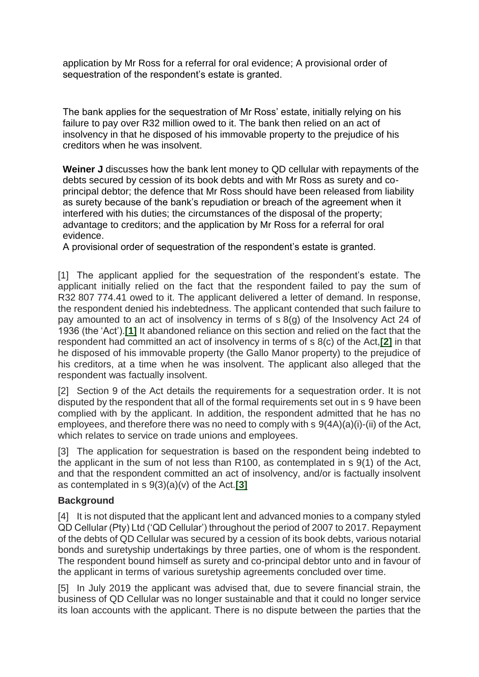application by Mr Ross for a referral for oral evidence; A provisional order of sequestration of the respondent's estate is granted.

The bank applies for the sequestration of Mr Ross' estate, initially relying on his failure to pay over R32 million owed to it. The bank then relied on an act of insolvency in that he disposed of his immovable property to the prejudice of his creditors when he was insolvent.

**Weiner J** discusses how the bank lent money to QD cellular with repayments of the debts secured by cession of its book debts and with Mr Ross as surety and coprincipal debtor; the defence that Mr Ross should have been released from liability as surety because of the bank's repudiation or breach of the agreement when it interfered with his duties; the circumstances of the disposal of the property; advantage to creditors; and the application by Mr Ross for a referral for oral evidence.

A provisional order of sequestration of the respondent's estate is granted.

[1] The applicant applied for the sequestration of the respondent's estate. The applicant initially relied on the fact that the respondent failed to pay the sum of R32 807 774.41 owed to it. The applicant delivered a letter of demand. In response, the respondent denied his indebtedness. The applicant contended that such failure to pay amounted to an act of insolvency in terms of s 8(g) of the Insolvency Act 24 of 1936 (the 'Act').**[\[1\]](http://www.saflii.org/za/cases/ZAGPJHC/2021/149.html#_ftn1)** It abandoned reliance on this section and relied on the fact that the respondent had committed an act of insolvency in terms of s 8(c) of the Act,**[\[2\]](http://www.saflii.org/za/cases/ZAGPJHC/2021/149.html#_ftn2)** in that he disposed of his immovable property (the Gallo Manor property) to the prejudice of his creditors, at a time when he was insolvent. The applicant also alleged that the respondent was factually insolvent.

[2] Section 9 of the Act details the requirements for a sequestration order. It is not disputed by the respondent that all of the formal requirements set out in s 9 have been complied with by the applicant. In addition, the respondent admitted that he has no employees, and therefore there was no need to comply with s 9(4A)(a)(i)-(ii) of the Act, which relates to service on trade unions and employees.

[3] The application for sequestration is based on the respondent being indebted to the applicant in the sum of not less than R100, as contemplated in s 9(1) of the Act, and that the respondent committed an act of insolvency, and/or is factually insolvent as contemplated in s 9(3)(a)(v) of the Act.**[\[3\]](http://www.saflii.org/za/cases/ZAGPJHC/2021/149.html#_ftn3)**

## **Background**

[4] It is not disputed that the applicant lent and advanced monies to a company styled QD Cellular (Pty) Ltd ('QD Cellular') throughout the period of 2007 to 2017. Repayment of the debts of QD Cellular was secured by a cession of its book debts, various notarial bonds and suretyship undertakings by three parties, one of whom is the respondent. The respondent bound himself as surety and co-principal debtor unto and in favour of the applicant in terms of various suretyship agreements concluded over time.

[5] In July 2019 the applicant was advised that, due to severe financial strain, the business of QD Cellular was no longer sustainable and that it could no longer service its loan accounts with the applicant. There is no dispute between the parties that the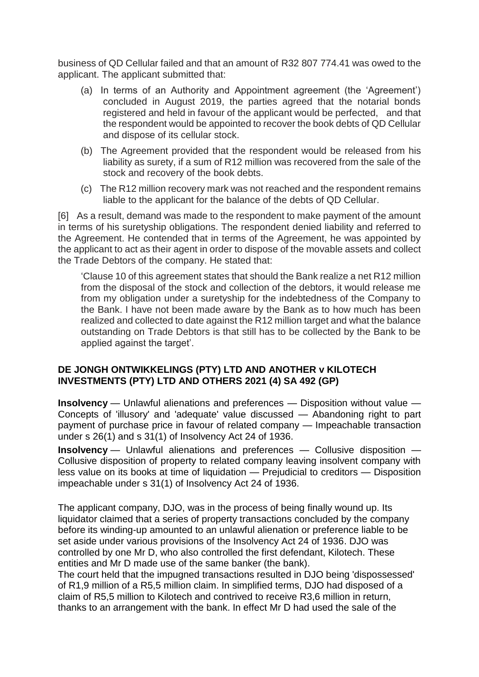business of QD Cellular failed and that an amount of R32 807 774.41 was owed to the applicant. The applicant submitted that:

- (a) In terms of an Authority and Appointment agreement (the 'Agreement') concluded in August 2019, the parties agreed that the notarial bonds registered and held in favour of the applicant would be perfected, and that the respondent would be appointed to recover the book debts of QD Cellular and dispose of its cellular stock.
- (b) The Agreement provided that the respondent would be released from his liability as surety, if a sum of R12 million was recovered from the sale of the stock and recovery of the book debts.
- (c) The R12 million recovery mark was not reached and the respondent remains liable to the applicant for the balance of the debts of QD Cellular.

[6] As a result, demand was made to the respondent to make payment of the amount in terms of his suretyship obligations. The respondent denied liability and referred to the Agreement. He contended that in terms of the Agreement, he was appointed by the applicant to act as their agent in order to dispose of the movable assets and collect the Trade Debtors of the company. He stated that:

'Clause 10 of this agreement states that should the Bank realize a net R12 million from the disposal of the stock and collection of the debtors, it would release me from my obligation under a suretyship for the indebtedness of the Company to the Bank. I have not been made aware by the Bank as to how much has been realized and collected to date against the R12 million target and what the balance outstanding on Trade Debtors is that still has to be collected by the Bank to be applied against the target'.

### **DE JONGH ONTWIKKELINGS (PTY) LTD AND ANOTHER v KILOTECH INVESTMENTS (PTY) LTD AND OTHERS 2021 (4) SA 492 (GP)**

**Insolvency** — Unlawful alienations and preferences — Disposition without value — Concepts of 'illusory' and 'adequate' value discussed — Abandoning right to part payment of purchase price in favour of related company — Impeachable transaction under s 26(1) and s 31(1) of Insolvency Act 24 of 1936.

**Insolvency** — Unlawful alienations and preferences — Collusive disposition — Collusive disposition of property to related company leaving insolvent company with less value on its books at time of liquidation — Prejudicial to creditors — Disposition impeachable under s 31(1) of Insolvency Act 24 of 1936.

The applicant company, DJO, was in the process of being finally wound up. Its liquidator claimed that a series of property transactions concluded by the company before its winding-up amounted to an unlawful alienation or preference liable to be set aside under various provisions of the Insolvency Act 24 of 1936. DJO was controlled by one Mr D, who also controlled the first defendant, Kilotech. These entities and Mr D made use of the same banker (the bank).

The court held that the impugned transactions resulted in DJO being 'dispossessed' of R1,9 million of a R5,5 million claim. In simplified terms, DJO had disposed of a claim of R5,5 million to Kilotech and contrived to receive R3,6 million in return, thanks to an arrangement with the bank. In effect Mr D had used the sale of the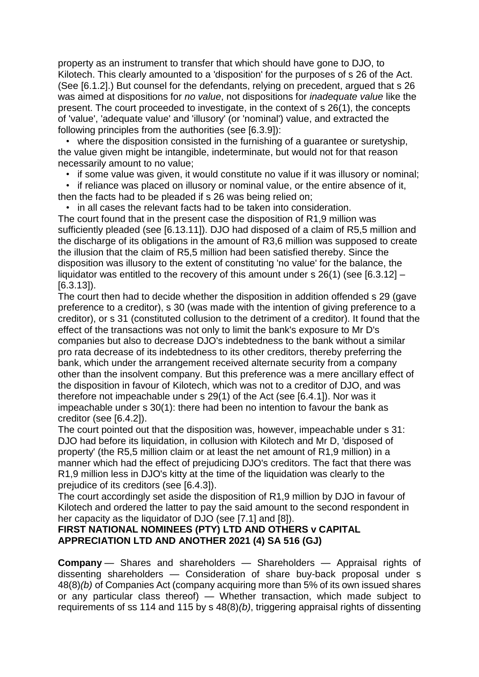property as an instrument to transfer that which should have gone to DJO, to Kilotech. This clearly amounted to a 'disposition' for the purposes of s 26 of the Act. (See [6.1.2].) But counsel for the defendants, relying on precedent, argued that s 26 was aimed at dispositions for *no value*, not dispositions for *inadequate value* like the present. The court proceeded to investigate, in the context of s 26(1), the concepts of 'value', 'adequate value' and 'illusory' (or 'nominal') value, and extracted the following principles from the authorities (see [6.3.9]):

 • where the disposition consisted in the furnishing of a guarantee or suretyship, the value given might be intangible, indeterminate, but would not for that reason necessarily amount to no value;

• if some value was given, it would constitute no value if it was illusory or nominal;

 • if reliance was placed on illusory or nominal value, or the entire absence of it, then the facts had to be pleaded if s 26 was being relied on;

• in all cases the relevant facts had to be taken into consideration.

The court found that in the present case the disposition of R1,9 million was sufficiently pleaded (see [6.13.11]). DJO had disposed of a claim of R5,5 million and the discharge of its obligations in the amount of R3,6 million was supposed to create the illusion that the claim of R5,5 million had been satisfied thereby. Since the disposition was illusory to the extent of constituting 'no value' for the balance, the liquidator was entitled to the recovery of this amount under s  $26(1)$  (see [6.3.12] – [6.3.13]).

The court then had to decide whether the disposition in addition offended s 29 (gave preference to a creditor), s 30 (was made with the intention of giving preference to a creditor), or s 31 (constituted collusion to the detriment of a creditor). It found that the effect of the transactions was not only to limit the bank's exposure to Mr D's companies but also to decrease DJO's indebtedness to the bank without a similar pro rata decrease of its indebtedness to its other creditors, thereby preferring the bank, which under the arrangement received alternate security from a company other than the insolvent company. But this preference was a mere ancillary effect of the disposition in favour of Kilotech, which was not to a creditor of DJO, and was therefore not impeachable under s 29(1) of the Act (see [6.4.1]). Nor was it impeachable under s 30(1): there had been no intention to favour the bank as creditor (see [6.4.2]).

The court pointed out that the disposition was, however, impeachable under s 31: DJO had before its liquidation, in collusion with Kilotech and Mr D, 'disposed of property' (the R5,5 million claim or at least the net amount of R1,9 million) in a manner which had the effect of prejudicing DJO's creditors. The fact that there was R1,9 million less in DJO's kitty at the time of the liquidation was clearly to the prejudice of its creditors (see [6.4.3]).

The court accordingly set aside the disposition of R1,9 million by DJO in favour of Kilotech and ordered the latter to pay the said amount to the second respondent in her capacity as the liquidator of DJO (see [7.1] and [8]).

## **FIRST NATIONAL NOMINEES (PTY) LTD AND OTHERS v CAPITAL APPRECIATION LTD AND ANOTHER 2021 (4) SA 516 (GJ)**

**Company** — Shares and shareholders — Shareholders — Appraisal rights of dissenting shareholders — Consideration of share buy-back proposal under s 48(8)*(b)* of Companies Act (company acquiring more than 5% of its own issued shares or any particular class thereof) — Whether transaction, which made subject to requirements of ss 114 and 115 by s 48(8)*(b)*, triggering appraisal rights of dissenting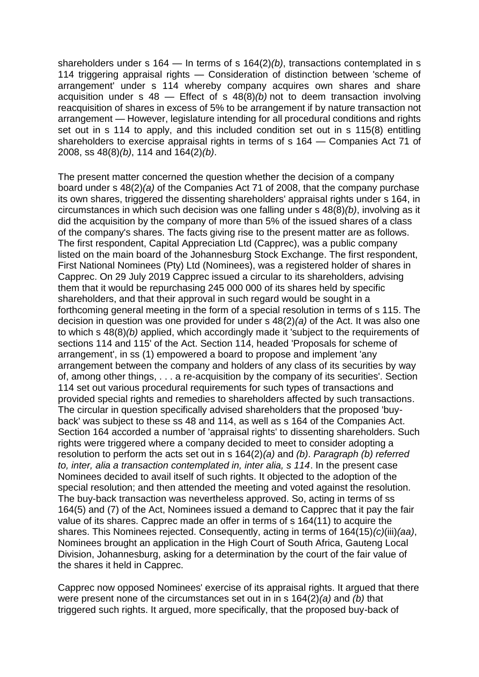shareholders under s 164 — In terms of s 164(2)*(b)*, transactions contemplated in s 114 triggering appraisal rights — Consideration of distinction between 'scheme of arrangement' under s 114 whereby company acquires own shares and share acquisition under s 48 — Effect of s 48(8)*(b)* not to deem transaction involving reacquisition of shares in excess of 5% to be arrangement if by nature transaction not arrangement — However, legislature intending for all procedural conditions and rights set out in s 114 to apply, and this included condition set out in s 115(8) entitling shareholders to exercise appraisal rights in terms of s 164 — Companies Act 71 of 2008, ss 48(8)*(b)*, 114 and 164(2)*(b)*.

The present matter concerned the question whether the decision of a company board under s 48(2)*(a)* of the Companies Act 71 of 2008, that the company purchase its own shares, triggered the dissenting shareholders' appraisal rights under s 164, in circumstances in which such decision was one falling under s 48(8)*(b)*, involving as it did the acquisition by the company of more than 5% of the issued shares of a class of the company's shares. The facts giving rise to the present matter are as follows. The first respondent, Capital Appreciation Ltd (Capprec), was a public company listed on the main board of the Johannesburg Stock Exchange. The first respondent, First National Nominees (Pty) Ltd (Nominees), was a registered holder of shares in Capprec. On 29 July 2019 Capprec issued a circular to its shareholders, advising them that it would be repurchasing 245 000 000 of its shares held by specific shareholders, and that their approval in such regard would be sought in a forthcoming general meeting in the form of a special resolution in terms of s 115. The decision in question was one provided for under s 48(2)*(a)* of the Act. It was also one to which s 48(8)*(b)* applied, which accordingly made it 'subject to the requirements of sections 114 and 115' of the Act. Section 114, headed 'Proposals for scheme of arrangement', in ss (1) empowered a board to propose and implement 'any arrangement between the company and holders of any class of its securities by way of, among other things, . . . a re-acquisition by the company of its securities'. Section 114 set out various procedural requirements for such types of transactions and provided special rights and remedies to shareholders affected by such transactions. The circular in question specifically advised shareholders that the proposed 'buyback' was subject to these ss 48 and 114, as well as s 164 of the Companies Act. Section 164 accorded a number of 'appraisal rights' to dissenting shareholders. Such rights were triggered where a company decided to meet to consider adopting a resolution to perform the acts set out in s 164(2)*(a)* and *(b)*. *Paragraph (b) referred to, inter, alia a transaction contemplated in, inter alia, s 114*. In the present case Nominees decided to avail itself of such rights. It objected to the adoption of the special resolution; and then attended the meeting and voted against the resolution. The buy-back transaction was nevertheless approved. So, acting in terms of ss 164(5) and (7) of the Act, Nominees issued a demand to Capprec that it pay the fair value of its shares. Capprec made an offer in terms of s 164(11) to acquire the shares. This Nominees rejected. Consequently, acting in terms of 164(15)*(c)*(iii)*(aa)*, Nominees brought an application in the High Court of South Africa, Gauteng Local Division, Johannesburg, asking for a determination by the court of the fair value of the shares it held in Capprec.

Capprec now opposed Nominees' exercise of its appraisal rights. It argued that there were present none of the circumstances set out in in s 164(2)*(a)* and *(b)* that triggered such rights. It argued, more specifically, that the proposed buy-back of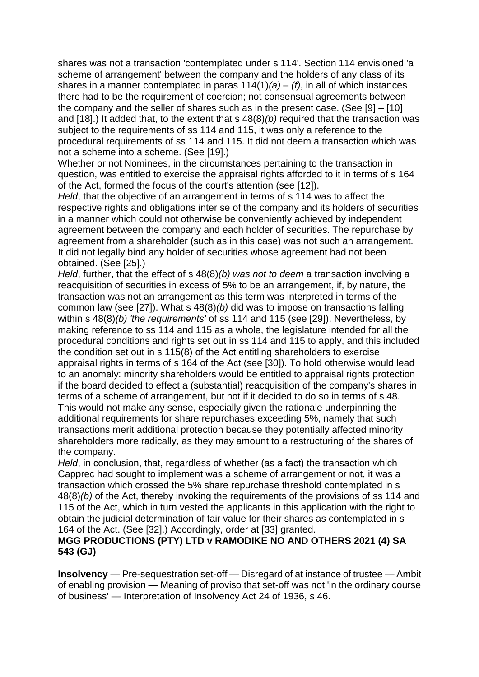shares was not a transaction 'contemplated under s 114'. Section 114 envisioned 'a scheme of arrangement' between the company and the holders of any class of its shares in a manner contemplated in paras 114(1)*(a)* – *(f)*, in all of which instances there had to be the requirement of coercion; not consensual agreements between the company and the seller of shares such as in the present case. (See [9] – [10] and [18].) It added that, to the extent that s 48(8)*(b)* required that the transaction was subject to the requirements of ss 114 and 115, it was only a reference to the procedural requirements of ss 114 and 115. It did not deem a transaction which was not a scheme into a scheme. (See [19].)

Whether or not Nominees, in the circumstances pertaining to the transaction in question, was entitled to exercise the appraisal rights afforded to it in terms of s 164 of the Act, formed the focus of the court's attention (see [12]).

*Held*, that the objective of an arrangement in terms of s 114 was to affect the respective rights and obligations inter se of the company and its holders of securities in a manner which could not otherwise be conveniently achieved by independent agreement between the company and each holder of securities. The repurchase by agreement from a shareholder (such as in this case) was not such an arrangement. It did not legally bind any holder of securities whose agreement had not been obtained. (See [25].)

*Held*, further, that the effect of s 48(8)*(b) was not to deem* a transaction involving a reacquisition of securities in excess of 5% to be an arrangement, if, by nature, the transaction was not an arrangement as this term was interpreted in terms of the common law (see [27]). What s 48(8)*(b)* did was to impose on transactions falling within s 48(8)*(b) 'the requirements'* of ss 114 and 115 (see [29]). Nevertheless, by making reference to ss 114 and 115 as a whole, the legislature intended for all the procedural conditions and rights set out in ss 114 and 115 to apply, and this included the condition set out in s 115(8) of the Act entitling shareholders to exercise appraisal rights in terms of s 164 of the Act (see [30]). To hold otherwise would lead to an anomaly: minority shareholders would be entitled to appraisal rights protection if the board decided to effect a (substantial) reacquisition of the company's shares in terms of a scheme of arrangement, but not if it decided to do so in terms of s 48. This would not make any sense, especially given the rationale underpinning the additional requirements for share repurchases exceeding 5%, namely that such transactions merit additional protection because they potentially affected minority shareholders more radically, as they may amount to a restructuring of the shares of the company.

*Held*, in conclusion, that, regardless of whether (as a fact) the transaction which Capprec had sought to implement was a scheme of arrangement or not, it was a transaction which crossed the 5% share repurchase threshold contemplated in s 48(8)*(b)* of the Act, thereby invoking the requirements of the provisions of ss 114 and 115 of the Act, which in turn vested the applicants in this application with the right to obtain the judicial determination of fair value for their shares as contemplated in s 164 of the Act. (See [32].) Accordingly, order at [33] granted.

### **MGG PRODUCTIONS (PTY) LTD v RAMODIKE NO AND OTHERS 2021 (4) SA 543 (GJ)**

**Insolvency** — Pre-sequestration set-off — Disregard of at instance of trustee — Ambit of enabling provision — Meaning of proviso that set-off was not 'in the ordinary course of business' — Interpretation of Insolvency Act 24 of 1936, s 46.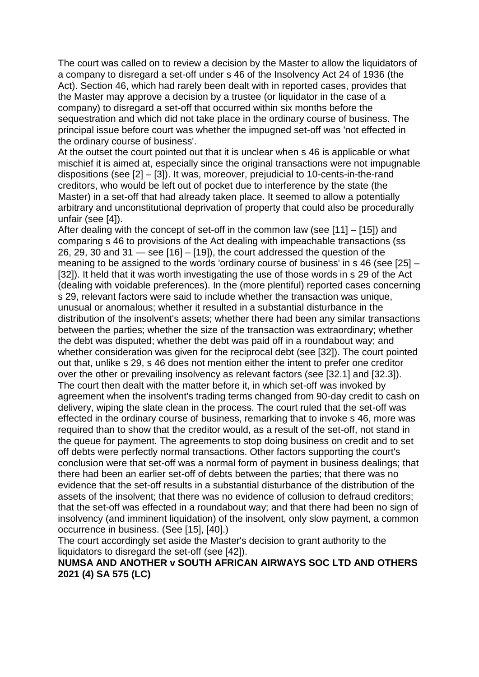The court was called on to review a decision by the Master to allow the liquidators of a company to disregard a set-off under s 46 of the Insolvency Act 24 of 1936 (the Act). Section 46, which had rarely been dealt with in reported cases, provides that the Master may approve a decision by a trustee (or liquidator in the case of a company) to disregard a set-off that occurred within six months before the sequestration and which did not take place in the ordinary course of business. The principal issue before court was whether the impugned set-off was 'not effected in the ordinary course of business'.

At the outset the court pointed out that it is unclear when s 46 is applicable or what mischief it is aimed at, especially since the original transactions were not impugnable dispositions (see [2] – [3]). It was, moreover, prejudicial to 10-cents-in-the-rand creditors, who would be left out of pocket due to interference by the state (the Master) in a set-off that had already taken place. It seemed to allow a potentially arbitrary and unconstitutional deprivation of property that could also be procedurally unfair (see [4]).

After dealing with the concept of set-off in the common law (see [11] – [15]) and comparing s 46 to provisions of the Act dealing with impeachable transactions (ss 26, 29, 30 and 31 — see [16] – [19]), the court addressed the question of the meaning to be assigned to the words 'ordinary course of business' in s 46 (see [25] – [32]). It held that it was worth investigating the use of those words in s 29 of the Act (dealing with voidable preferences). In the (more plentiful) reported cases concerning s 29, relevant factors were said to include whether the transaction was unique, unusual or anomalous; whether it resulted in a substantial disturbance in the distribution of the insolvent's assets; whether there had been any similar transactions between the parties; whether the size of the transaction was extraordinary; whether the debt was disputed; whether the debt was paid off in a roundabout way; and whether consideration was given for the reciprocal debt (see [32]). The court pointed out that, unlike s 29, s 46 does not mention either the intent to prefer one creditor over the other or prevailing insolvency as relevant factors (see [32.1] and [32.3]). The court then dealt with the matter before it, in which set-off was invoked by agreement when the insolvent's trading terms changed from 90-day credit to cash on delivery, wiping the slate clean in the process. The court ruled that the set-off was effected in the ordinary course of business, remarking that to invoke s 46, more was required than to show that the creditor would, as a result of the set-off, not stand in the queue for payment. The agreements to stop doing business on credit and to set off debts were perfectly normal transactions. Other factors supporting the court's conclusion were that set-off was a normal form of payment in business dealings; that there had been an earlier set-off of debts between the parties; that there was no evidence that the set-off results in a substantial disturbance of the distribution of the assets of the insolvent; that there was no evidence of collusion to defraud creditors; that the set-off was effected in a roundabout way; and that there had been no sign of insolvency (and imminent liquidation) of the insolvent, only slow payment, a common occurrence in business. (See [15], [40].)

The court accordingly set aside the Master's decision to grant authority to the liquidators to disregard the set-off (see [42]).

### **NUMSA AND ANOTHER v SOUTH AFRICAN AIRWAYS SOC LTD AND OTHERS 2021 (4) SA 575 (LC)**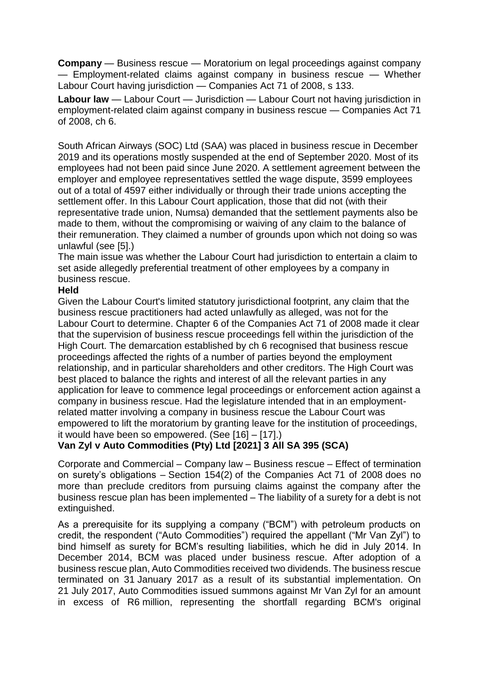**Company** — Business rescue — Moratorium on legal proceedings against company — Employment-related claims against company in business rescue — Whether Labour Court having jurisdiction — Companies Act 71 of 2008, s 133.

**Labour law** — Labour Court — Jurisdiction — Labour Court not having jurisdiction in employment-related claim against company in business rescue — Companies Act 71 of 2008, ch 6.

South African Airways (SOC) Ltd (SAA) was placed in business rescue in December 2019 and its operations mostly suspended at the end of September 2020. Most of its employees had not been paid since June 2020. A settlement agreement between the employer and employee representatives settled the wage dispute, 3599 employees out of a total of 4597 either individually or through their trade unions accepting the settlement offer. In this Labour Court application, those that did not (with their representative trade union, Numsa) demanded that the settlement payments also be made to them, without the compromising or waiving of any claim to the balance of their remuneration. They claimed a number of grounds upon which not doing so was unlawful (see [5].)

The main issue was whether the Labour Court had jurisdiction to entertain a claim to set aside allegedly preferential treatment of other employees by a company in business rescue.

### **Held**

Given the Labour Court's limited statutory jurisdictional footprint, any claim that the business rescue practitioners had acted unlawfully as alleged, was not for the Labour Court to determine. Chapter 6 of the Companies Act 71 of 2008 made it clear that the supervision of business rescue proceedings fell within the jurisdiction of the High Court. The demarcation established by ch 6 recognised that business rescue proceedings affected the rights of a number of parties beyond the employment relationship, and in particular shareholders and other creditors. The High Court was best placed to balance the rights and interest of all the relevant parties in any application for leave to commence legal proceedings or enforcement action against a company in business rescue. Had the legislature intended that in an employmentrelated matter involving a company in business rescue the Labour Court was empowered to lift the moratorium by granting leave for the institution of proceedings, it would have been so empowered. (See [16] – [17].)

# **Van Zyl v Auto Commodities (Pty) Ltd [2021] 3 All SA 395 (SCA)**

Corporate and Commercial – Company law – Business rescue – Effect of termination on surety's obligations – Section 154(2) of the Companies Act 71 of 2008 does no more than preclude creditors from pursuing claims against the company after the business rescue plan has been implemented – The liability of a surety for a debt is not extinguished.

As a prerequisite for its supplying a company ("BCM") with petroleum products on credit, the respondent ("Auto Commodities") required the appellant ("Mr Van Zyl") to bind himself as surety for BCM's resulting liabilities, which he did in July 2014. In December 2014, BCM was placed under business rescue. After adoption of a business rescue plan, Auto Commodities received two dividends. The business rescue terminated on 31 January 2017 as a result of its substantial implementation. On 21 July 2017, Auto Commodities issued summons against Mr Van Zyl for an amount in excess of R6 million, representing the shortfall regarding BCM's original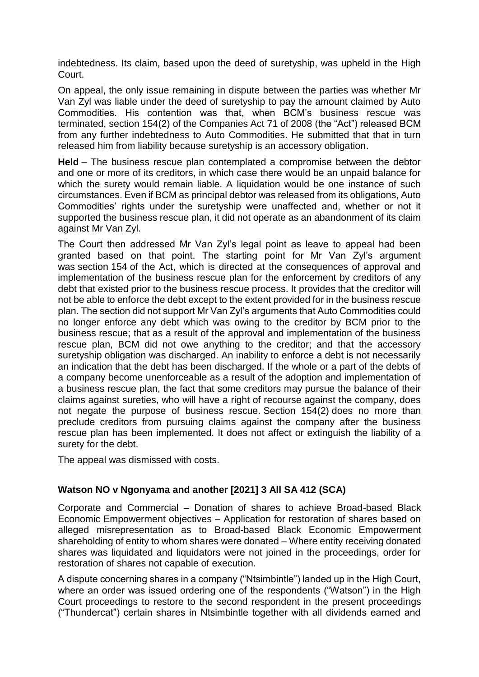indebtedness. Its claim, based upon the deed of suretyship, was upheld in the High Court.

On appeal, the only issue remaining in dispute between the parties was whether Mr Van Zyl was liable under the deed of suretyship to pay the amount claimed by Auto Commodities. His contention was that, when BCM's business rescue was terminated, section 154(2) of the Companies Act 71 of 2008 (the "Act") released BCM from any further indebtedness to Auto Commodities. He submitted that that in turn released him from liability because suretyship is an accessory obligation.

**Held** – The business rescue plan contemplated a compromise between the debtor and one or more of its creditors, in which case there would be an unpaid balance for which the surety would remain liable. A liquidation would be one instance of such circumstances. Even if BCM as principal debtor was released from its obligations, Auto Commodities' rights under the suretyship were unaffected and, whether or not it supported the business rescue plan, it did not operate as an abandonment of its claim against Mr Van Zyl.

The Court then addressed Mr Van Zyl's legal point as leave to appeal had been granted based on that point. The starting point for Mr Van Zyl's argument was section 154 of the Act, which is directed at the consequences of approval and implementation of the business rescue plan for the enforcement by creditors of any debt that existed prior to the business rescue process. It provides that the creditor will not be able to enforce the debt except to the extent provided for in the business rescue plan. The section did not support Mr Van Zyl's arguments that Auto Commodities could no longer enforce any debt which was owing to the creditor by BCM prior to the business rescue; that as a result of the approval and implementation of the business rescue plan, BCM did not owe anything to the creditor; and that the accessory suretyship obligation was discharged. An inability to enforce a debt is not necessarily an indication that the debt has been discharged. If the whole or a part of the debts of a company become unenforceable as a result of the adoption and implementation of a business rescue plan, the fact that some creditors may pursue the balance of their claims against sureties, who will have a right of recourse against the company, does not negate the purpose of business rescue. Section 154(2) does no more than preclude creditors from pursuing claims against the company after the business rescue plan has been implemented. It does not affect or extinguish the liability of a surety for the debt.

The appeal was dismissed with costs.

## **Watson NO v Ngonyama and another [2021] 3 All SA 412 (SCA)**

Corporate and Commercial – Donation of shares to achieve Broad-based Black Economic Empowerment objectives – Application for restoration of shares based on alleged misrepresentation as to Broad-based Black Economic Empowerment shareholding of entity to whom shares were donated – Where entity receiving donated shares was liquidated and liquidators were not joined in the proceedings, order for restoration of shares not capable of execution.

A dispute concerning shares in a company ("Ntsimbintle") landed up in the High Court, where an order was issued ordering one of the respondents ("Watson") in the High Court proceedings to restore to the second respondent in the present proceedings ("Thundercat") certain shares in Ntsimbintle together with all dividends earned and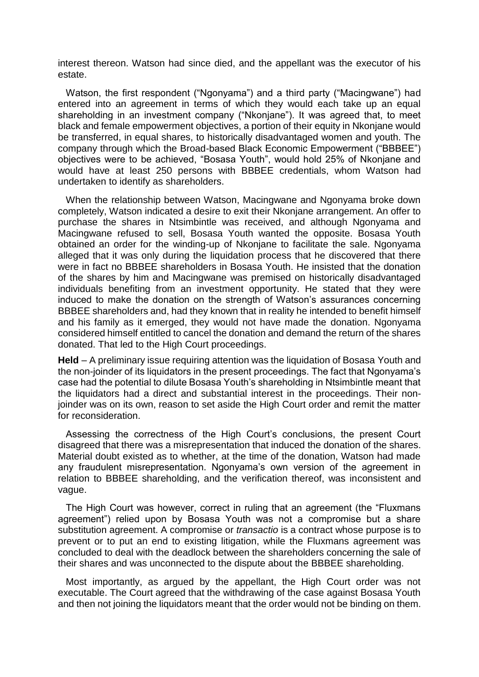interest thereon. Watson had since died, and the appellant was the executor of his estate.

Watson, the first respondent ("Ngonyama") and a third party ("Macingwane") had entered into an agreement in terms of which they would each take up an equal shareholding in an investment company ("Nkonjane"). It was agreed that, to meet black and female empowerment objectives, a portion of their equity in Nkonjane would be transferred, in equal shares, to historically disadvantaged women and youth. The company through which the Broad-based Black Economic Empowerment ("BBBEE") objectives were to be achieved, "Bosasa Youth", would hold 25% of Nkonjane and would have at least 250 persons with BBBEE credentials, whom Watson had undertaken to identify as shareholders.

When the relationship between Watson, Macingwane and Ngonyama broke down completely, Watson indicated a desire to exit their Nkonjane arrangement. An offer to purchase the shares in Ntsimbintle was received, and although Ngonyama and Macingwane refused to sell, Bosasa Youth wanted the opposite. Bosasa Youth obtained an order for the winding-up of Nkonjane to facilitate the sale. Ngonyama alleged that it was only during the liquidation process that he discovered that there were in fact no BBBEE shareholders in Bosasa Youth. He insisted that the donation of the shares by him and Macingwane was premised on historically disadvantaged individuals benefiting from an investment opportunity. He stated that they were induced to make the donation on the strength of Watson's assurances concerning BBBEE shareholders and, had they known that in reality he intended to benefit himself and his family as it emerged, they would not have made the donation. Ngonyama considered himself entitled to cancel the donation and demand the return of the shares donated. That led to the High Court proceedings.

**Held** – A preliminary issue requiring attention was the liquidation of Bosasa Youth and the non-joinder of its liquidators in the present proceedings. The fact that Ngonyama's case had the potential to dilute Bosasa Youth's shareholding in Ntsimbintle meant that the liquidators had a direct and substantial interest in the proceedings. Their nonjoinder was on its own, reason to set aside the High Court order and remit the matter for reconsideration.

Assessing the correctness of the High Court's conclusions, the present Court disagreed that there was a misrepresentation that induced the donation of the shares. Material doubt existed as to whether, at the time of the donation, Watson had made any fraudulent misrepresentation. Ngonyama's own version of the agreement in relation to BBBEE shareholding, and the verification thereof, was inconsistent and vague.

The High Court was however, correct in ruling that an agreement (the "Fluxmans agreement") relied upon by Bosasa Youth was not a compromise but a share substitution agreement. A compromise or *transactio* is a contract whose purpose is to prevent or to put an end to existing litigation, while the Fluxmans agreement was concluded to deal with the deadlock between the shareholders concerning the sale of their shares and was unconnected to the dispute about the BBBEE shareholding.

Most importantly, as argued by the appellant, the High Court order was not executable. The Court agreed that the withdrawing of the case against Bosasa Youth and then not joining the liquidators meant that the order would not be binding on them.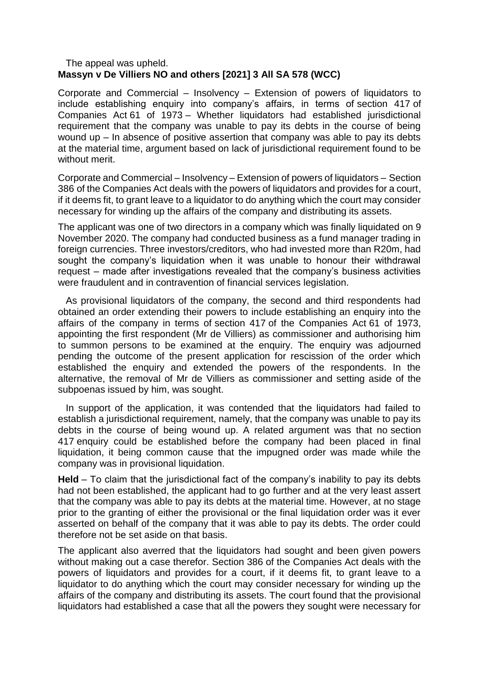#### The appeal was upheld. **Massyn v De Villiers NO and others [2021] 3 All SA 578 (WCC)**

Corporate and Commercial – Insolvency – Extension of powers of liquidators to include establishing enquiry into company's affairs, in terms of section 417 of Companies Act 61 of 1973 – Whether liquidators had established jurisdictional requirement that the company was unable to pay its debts in the course of being wound up – In absence of positive assertion that company was able to pay its debts at the material time, argument based on lack of jurisdictional requirement found to be without merit.

Corporate and Commercial – Insolvency – Extension of powers of liquidators – Section 386 of the Companies Act deals with the powers of liquidators and provides for a court, if it deems fit, to grant leave to a liquidator to do anything which the court may consider necessary for winding up the affairs of the company and distributing its assets.

The applicant was one of two directors in a company which was finally liquidated on 9 November 2020. The company had conducted business as a fund manager trading in foreign currencies. Three investors/creditors, who had invested more than R20m, had sought the company's liquidation when it was unable to honour their withdrawal request – made after investigations revealed that the company's business activities were fraudulent and in contravention of financial services legislation.

As provisional liquidators of the company, the second and third respondents had obtained an order extending their powers to include establishing an enquiry into the affairs of the company in terms of section 417 of the Companies Act 61 of 1973, appointing the first respondent (Mr de Villiers) as commissioner and authorising him to summon persons to be examined at the enquiry. The enquiry was adjourned pending the outcome of the present application for rescission of the order which established the enquiry and extended the powers of the respondents. In the alternative, the removal of Mr de Villiers as commissioner and setting aside of the subpoenas issued by him, was sought.

In support of the application, it was contended that the liquidators had failed to establish a jurisdictional requirement, namely, that the company was unable to pay its debts in the course of being wound up. A related argument was that no section 417 enquiry could be established before the company had been placed in final liquidation, it being common cause that the impugned order was made while the company was in provisional liquidation.

**Held** – To claim that the jurisdictional fact of the company's inability to pay its debts had not been established, the applicant had to go further and at the very least assert that the company was able to pay its debts at the material time. However, at no stage prior to the granting of either the provisional or the final liquidation order was it ever asserted on behalf of the company that it was able to pay its debts. The order could therefore not be set aside on that basis.

The applicant also averred that the liquidators had sought and been given powers without making out a case therefor. Section 386 of the Companies Act deals with the powers of liquidators and provides for a court, if it deems fit, to grant leave to a liquidator to do anything which the court may consider necessary for winding up the affairs of the company and distributing its assets. The court found that the provisional liquidators had established a case that all the powers they sought were necessary for